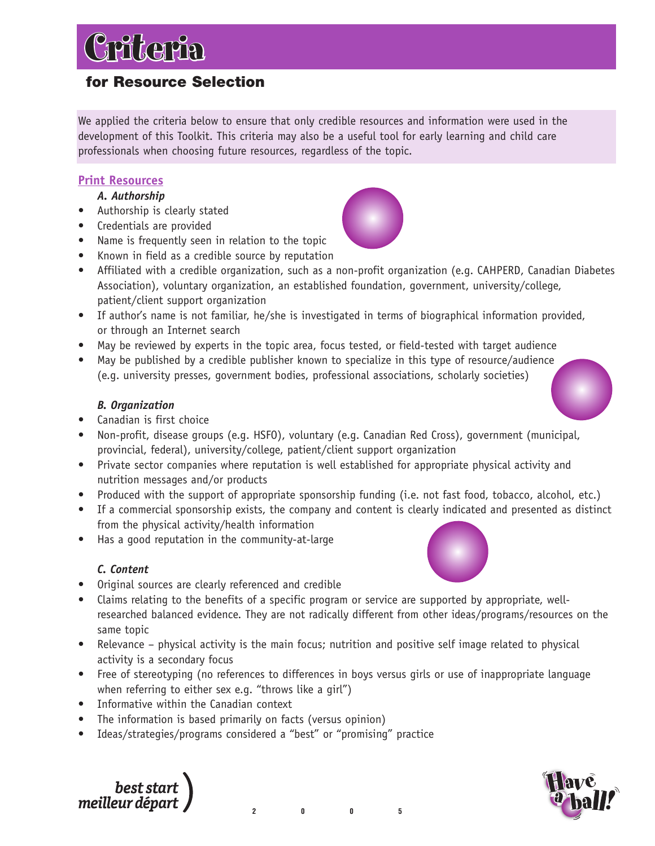## **for Resource Selection**

Criteria

We applied the criteria below to ensure that only credible resources and information were used in the development of this Toolkit. This criteria may also be a useful tool for early learning and child care professionals when choosing future resources, regardless of the topic.

## **Print Resources**

*A. Authorship*

- Authorship is clearly stated
- Credentials are provided
- Name is frequently seen in relation to the topic
- Known in field as a credible source by reputation
- Affiliated with a credible organization, such as a non-profit organization (e.g. CAHPERD, Canadian Diabetes Association), voluntary organization, an established foundation, government, university/college, patient/client support organization
- If author's name is not familiar, he/she is investigated in terms of biographical information provided, or through an Internet search
- May be reviewed by experts in the topic area, focus tested, or field-tested with target audience
- May be published by a credible publisher known to specialize in this type of resource/audience (e.g. university presses, government bodies, professional associations, scholarly societies)

## *B. Organization*

- Canadian is first choice
- Non-profit, disease groups (e.g. HSFO), voluntary (e.g. Canadian Red Cross), government (municipal, provincial, federal), university/college, patient/client support organization
- Private sector companies where reputation is well established for appropriate physical activity and nutrition messages and/or products
- Produced with the support of appropriate sponsorship funding (i.e. not fast food, tobacco, alcohol, etc.)
- If a commercial sponsorship exists, the company and content is clearly indicated and presented as distinct from the physical activity/health information
- Has a good reputation in the community-at-large

## *C. Content*

- Original sources are clearly referenced and credible
- Claims relating to the benefits of a specific program or service are supported by appropriate, wellresearched balanced evidence. They are not radically different from other ideas/programs/resources on the same topic
- Relevance physical activity is the main focus; nutrition and positive self image related to physical activity is a secondary focus
- Free of stereotyping (no references to differences in boys versus girls or use of inappropriate language when referring to either sex e.g. "throws like a girl")

**2005**

- Informative within the Canadian context
- The information is based primarily on facts (versus opinion)
- Ideas/strategies/programs considered a "best" or "promising" practice